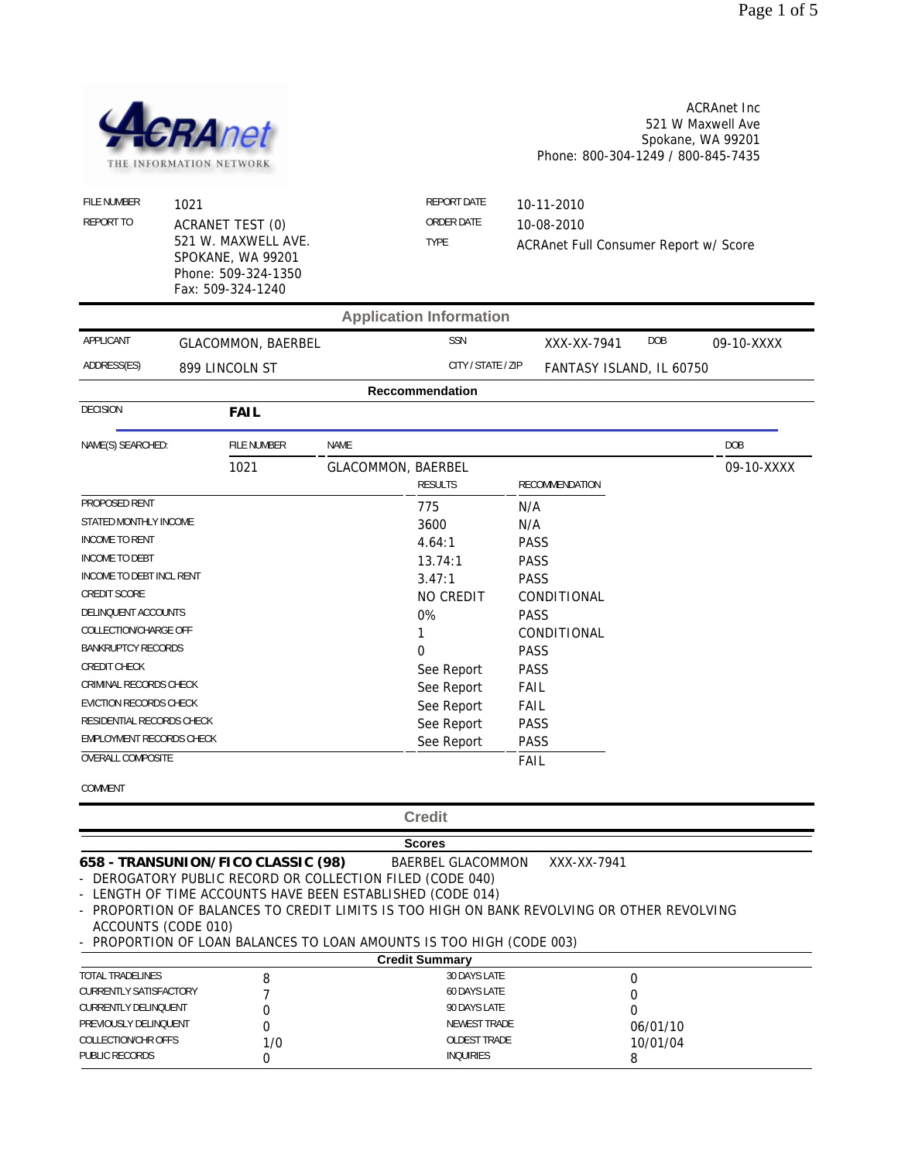

ACRAnet Inc 521 W Maxwell Ave Spokane, WA 99201 Phone: 800-304-1249 / 800-845-7435

| FILE NUMBER<br>REPORT TO  | 1021<br><b>ACRANET TEST (0)</b><br>521 W. MAXWELL AVE.<br>SPOKANE, WA 99201<br>Phone: 509-324-1350<br>Fax: 509-324-1240 |             |                           | <b>REPORT DATE</b><br>ORDER DATE<br><b>TYPE</b> |             | 10-11-2010<br>10-08-2010<br>ACRAnet Full Consumer Report w/ Score |     |            |
|---------------------------|-------------------------------------------------------------------------------------------------------------------------|-------------|---------------------------|-------------------------------------------------|-------------|-------------------------------------------------------------------|-----|------------|
|                           |                                                                                                                         |             |                           | <b>Application Information</b>                  |             |                                                                   |     |            |
| APPLICANT                 | <b>GLACOMMON, BAERBEL</b>                                                                                               |             |                           | <b>SSN</b>                                      |             | XXX-XX-7941                                                       | DOB | 09-10-XXXX |
| ADDRESS(ES)               | 899 LINCOLN ST                                                                                                          |             |                           | CITY / STATE / ZIP                              |             | FANTASY ISLAND, IL 60750                                          |     |            |
|                           |                                                                                                                         |             |                           | <b>Reccommendation</b>                          |             |                                                                   |     |            |
| <b>DECISION</b>           | <b>FAIL</b>                                                                                                             |             |                           |                                                 |             |                                                                   |     |            |
| NAME(S) SEARCHED:         |                                                                                                                         | FILE NUMBER | <b>NAME</b>               |                                                 |             |                                                                   |     | DOB        |
|                           | 1021                                                                                                                    |             | <b>GLACOMMON, BAERBEL</b> | <b>RESULTS</b>                                  |             | RECOMMENDATION                                                    |     | 09-10-XXXX |
| PROPOSED RENT             |                                                                                                                         |             |                           | 775                                             | N/A         |                                                                   |     |            |
| STATED MONTHLY INCOME     |                                                                                                                         |             |                           | 3600                                            | N/A         |                                                                   |     |            |
| <b>INCOME TO RENT</b>     |                                                                                                                         |             |                           | 4.64:1                                          | <b>PASS</b> |                                                                   |     |            |
| <b>INCOME TO DEBT</b>     |                                                                                                                         |             |                           | 13.74:1                                         | <b>PASS</b> |                                                                   |     |            |
| INCOME TO DEBT INCL RENT  |                                                                                                                         |             |                           | 3.47:1                                          | <b>PASS</b> |                                                                   |     |            |
| CREDIT SCORE              |                                                                                                                         |             |                           | NO CREDIT                                       |             | CONDITIONAL                                                       |     |            |
| DELINQUENT ACCOUNTS       |                                                                                                                         |             |                           | 0%                                              | <b>PASS</b> |                                                                   |     |            |
| COLLECTION/CHARGE OFF     |                                                                                                                         |             |                           | 1                                               | CONDITIONAL |                                                                   |     |            |
| <b>BANKRUPTCY RECORDS</b> |                                                                                                                         |             | $\Omega$                  | <b>PASS</b>                                     |             |                                                                   |     |            |
| CREDIT CHECK              |                                                                                                                         |             |                           | See Report                                      | <b>PASS</b> |                                                                   |     |            |
| CRIMINAL RECORDS CHECK    |                                                                                                                         |             |                           | See Report                                      | <b>FAIL</b> |                                                                   |     |            |
| EVICTION RECORDS CHECK    |                                                                                                                         |             |                           | See Report                                      | <b>FAIL</b> |                                                                   |     |            |
| RESIDENTIAL RECORDS CHECK |                                                                                                                         |             |                           | See Report                                      | <b>PASS</b> |                                                                   |     |            |
| EMPLOYMENT RECORDS CHECK  |                                                                                                                         |             |                           | See Report                                      | <b>PASS</b> |                                                                   |     |            |
| <b>OVERALL COMPOSITE</b>  |                                                                                                                         |             |                           |                                                 | <b>FAIL</b> |                                                                   |     |            |

COMMENT

**Credit**

**Scores 658 - TRANSUNION/FICO CLASSIC (98)** BAERBEL GLACOMMON XXX-XX-7941

- DEROGATORY PUBLIC RECORD OR COLLECTION FILED (CODE 040)

- LENGTH OF TIME ACCOUNTS HAVE BEEN ESTABLISHED (CODE 014)

- PROPORTION OF BALANCES TO CREDIT LIMITS IS TOO HIGH ON BANK REVOLVING OR OTHER REVOLVING ACCOUNTS (CODE 010)

- PROPORTION OF LOAN BALANCES TO LOAN AMOUNTS IS TOO HIGH (CODE 003)

|                               |     | <b>Credit Summary</b> |          |  |
|-------------------------------|-----|-----------------------|----------|--|
| TOTAL TRADELINES              |     | 30 DAYS LATE          |          |  |
| <b>CURRENTLY SATISFACTORY</b> |     | 60 DAYS LATE          |          |  |
| <b>CURRENTLY DELINQUENT</b>   |     | 90 DAYS LATE          |          |  |
| PREVIOUSLY DELINQUENT         |     | NEWEST TRADE          | 06/01/10 |  |
| COLLECTION/CHR OFFS           | 1/0 | OLDEST TRADE          | 10/01/04 |  |
| PUBLIC RECORDS                |     | <b>INQUIRIES</b>      |          |  |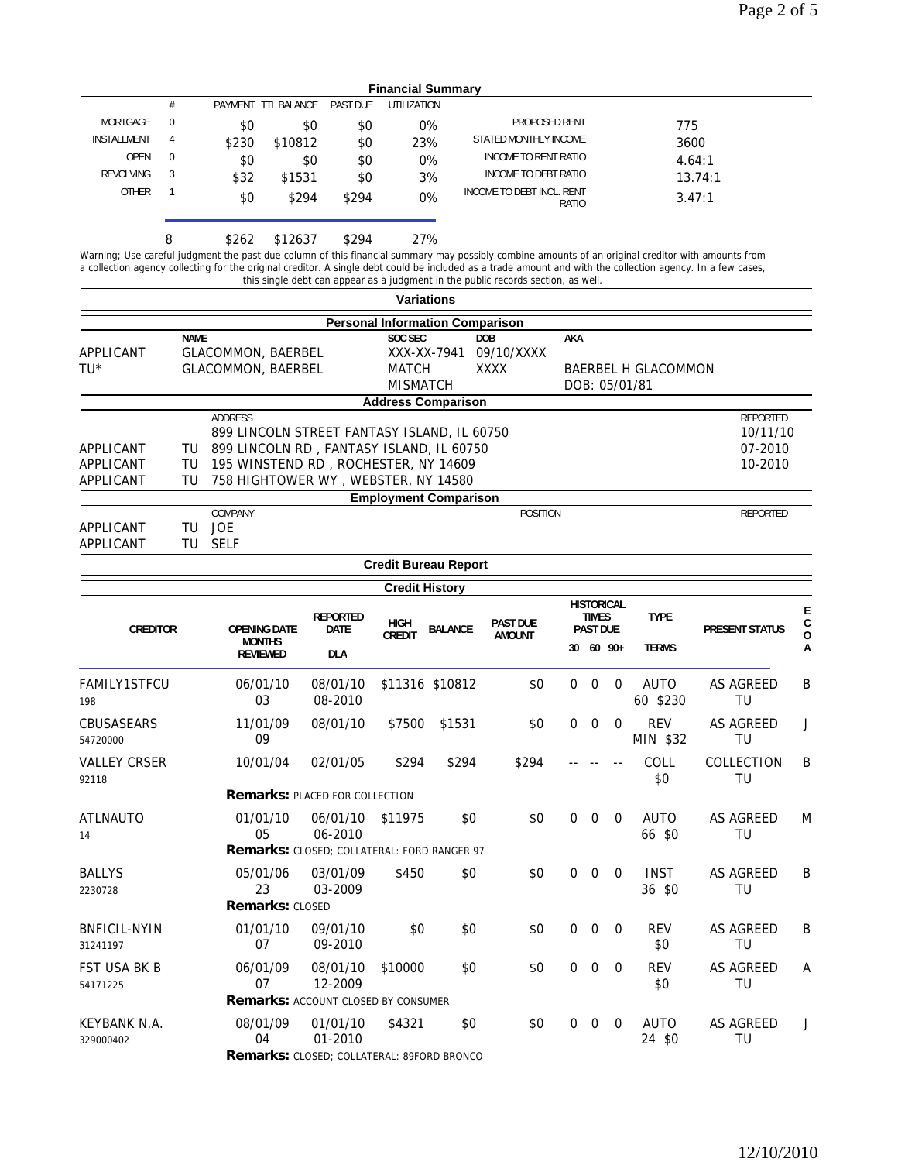|                  | <b>Financial Summary</b> |       |                      |                 |             |                                    |         |  |  |
|------------------|--------------------------|-------|----------------------|-----------------|-------------|------------------------------------|---------|--|--|
|                  | #                        |       | PAYMENT TTI BAI ANCE | <b>PAST DUF</b> | UTILIZATION |                                    |         |  |  |
| MORTGAGE         | 0                        | \$0   | \$0                  | \$0             | 0%          | PROPOSED RENT                      | 775     |  |  |
| INSTALLMENT      | 4                        | \$230 | \$10812              | \$0             | 23%         | STATED MONTHLY INCOME              | 3600    |  |  |
| <b>OPEN</b>      | $\mathbf 0$              | \$0   | \$0                  | \$0             | 0%          | INCOME TO RENT RATIO               | 4.64:1  |  |  |
| <b>REVOLVING</b> | 3                        | \$32  | \$1531               | \$0             | 3%          | INCOME TO DEBT RATIO               | 13.74:1 |  |  |
| <b>OTHER</b>     |                          | \$0   | \$294                | \$294           | 0%          | INCOME TO DEBT INCL. RENT<br>RATIO | 3.47:1  |  |  |
|                  | 8                        | \$262 | \$12637              | \$294           | 27%         |                                    |         |  |  |

Warning; Use careful judgment the past due column of this financial summary may possibly combine amounts of an original creditor with amounts from a collection agency collecting for the original creditor. A single debt could be included as a trade amount and with the collection agency. In a few cases, this single debt can appear as a judgment in the public records section, as well.

|                                     |                |                                                                                                                                                                                   |                         |                                            | <b>Variations</b>                      |                                         |              |                                                      |                          |                                      |                                            |                       |
|-------------------------------------|----------------|-----------------------------------------------------------------------------------------------------------------------------------------------------------------------------------|-------------------------|--------------------------------------------|----------------------------------------|-----------------------------------------|--------------|------------------------------------------------------|--------------------------|--------------------------------------|--------------------------------------------|-----------------------|
|                                     |                |                                                                                                                                                                                   |                         |                                            | <b>Personal Information Comparison</b> |                                         |              |                                                      |                          |                                      |                                            |                       |
| APPLICANT<br>TU*                    | <b>NAME</b>    | <b>GLACOMMON, BAERBEL</b><br>GLACOMMON, BAERBEL                                                                                                                                   |                         | SOC SEC<br><b>MATCH</b><br><b>MISMATCH</b> | XXX-XX-7941                            | <b>DOB</b><br>09/10/XXXX<br><b>XXXX</b> | AKA          |                                                      |                          | BAERBEL H GLACOMMON<br>DOB: 05/01/81 |                                            |                       |
|                                     |                |                                                                                                                                                                                   |                         |                                            | <b>Address Comparison</b>              |                                         |              |                                                      |                          |                                      |                                            |                       |
| APPLICANT<br>APPLICANT<br>APPLICANT | TU<br>TU<br>TU | ADDRESS<br>899 LINCOLN STREET FANTASY ISLAND, IL 60750<br>899 LINCOLN RD, FANTASY ISLAND, IL 60750<br>195 WINSTEND RD, ROCHESTER, NY 14609<br>758 HIGHTOWER WY, WEBSTER, NY 14580 |                         |                                            |                                        |                                         |              |                                                      |                          |                                      | REPORTED<br>10/11/10<br>07-2010<br>10-2010 |                       |
|                                     |                |                                                                                                                                                                                   |                         |                                            | <b>Employment Comparison</b>           |                                         |              |                                                      |                          |                                      |                                            |                       |
| APPLICANT<br>APPLICANT              | TU<br>TU       | COMPANY<br>JOE<br><b>SELF</b>                                                                                                                                                     |                         |                                            |                                        | <b>POSITION</b>                         |              |                                                      |                          |                                      | REPORTED                                   |                       |
|                                     |                |                                                                                                                                                                                   |                         |                                            | <b>Credit Bureau Report</b>            |                                         |              |                                                      |                          |                                      |                                            |                       |
|                                     |                |                                                                                                                                                                                   |                         | <b>Credit History</b>                      |                                        |                                         |              |                                                      |                          |                                      |                                            |                       |
| <b>CREDITOR</b>                     |                | <b>OPENING DATE</b>                                                                                                                                                               | <b>REPORTED</b><br>DATE | <b>HIGH</b><br><b>CREDIT</b>               | <b>BALANCE</b>                         | <b>PAST DUE</b><br><b>AMOUNT</b>        |              | <b>HISTORICAL</b><br><b>TIMES</b><br><b>PAST DUE</b> |                          | <b>TYPE</b>                          | <b>PRESENT STATUS</b>                      | E<br>C<br>$\mathbf 0$ |
|                                     |                | <b>MONTHS</b><br><b>REVIEWED</b>                                                                                                                                                  | <b>DLA</b>              |                                            |                                        |                                         |              | 30 60 90+                                            |                          | <b>TERMS</b>                         |                                            | А                     |
| FAMILY1STFCU<br>198                 |                | 06/01/10<br>03                                                                                                                                                                    | 08/01/10<br>08-2010     |                                            | \$11316 \$10812                        | \$0                                     | $\mathbf 0$  | $\mathbf 0$                                          | $\overline{0}$           | <b>AUTO</b><br>60 \$230              | <b>AS AGREED</b><br>TU                     | B                     |
| CBUSASEARS<br>54720000              |                | 11/01/09<br>09                                                                                                                                                                    | 08/01/10                | \$7500                                     | \$1531                                 | \$0                                     | $\mathbf 0$  | $\mathbf 0$                                          | $\mathbf 0$              | <b>REV</b><br>MIN \$32               | <b>AS AGREED</b><br>TU                     | J                     |
| <b>VALLEY CRSER</b><br>92118        |                | 10/01/04                                                                                                                                                                          | 02/01/05                | \$294                                      | \$294                                  | \$294                                   |              |                                                      |                          | COLL<br>\$0                          | COLLECTION<br>TU                           | B                     |
|                                     |                | <b>Remarks: PLACED FOR COLLECTION</b>                                                                                                                                             |                         |                                            |                                        |                                         |              |                                                      |                          |                                      |                                            |                       |
| <b>ATLNAUTO</b><br>14               |                | 01/01/10<br>05                                                                                                                                                                    | 06/01/10<br>06-2010     | \$11975                                    | \$0                                    | \$0                                     | $\mathbf 0$  | $\mathbf 0$                                          | 0                        | <b>AUTO</b><br>66 \$0                | AS AGREED<br>TU                            | M                     |
|                                     |                | Remarks: CLOSED; COLLATERAL: FORD RANGER 97                                                                                                                                       |                         |                                            |                                        |                                         |              |                                                      |                          |                                      |                                            |                       |
| <b>BALLYS</b><br>2230728            |                | 05/01/06<br>23                                                                                                                                                                    | 03/01/09<br>03-2009     | \$450                                      | \$0                                    | \$0                                     | $\mathbf 0$  | $\mathbf 0$                                          | 0                        | <b>INST</b><br>36 \$0                | <b>AS AGREED</b><br>TU                     | B                     |
|                                     |                | <b>Remarks: CLOSED</b>                                                                                                                                                            |                         |                                            |                                        |                                         |              |                                                      |                          |                                      |                                            |                       |
| <b>BNFICIL-NYIN</b><br>31241197     |                | 01/01/10<br>07                                                                                                                                                                    | 09/01/10<br>09-2010     | \$0                                        | \$0                                    | \$0                                     | $\mathbf 0$  | $\mathbf 0$                                          | 0                        | <b>REV</b><br>\$0                    | AS AGREED<br>TU                            | B                     |
| FST USA BK B<br>54171225            |                | 06/01/09<br>07                                                                                                                                                                    | 08/01/10<br>12-2009     | \$10000                                    | \$0                                    | \$0                                     | 0            | $\mathbf{0}$                                         | $\overline{\phantom{0}}$ | REV<br>\$0                           | AS AGREED<br>TU                            | А                     |
|                                     |                | <b>Remarks: ACCOUNT CLOSED BY CONSUMER</b>                                                                                                                                        |                         |                                            |                                        |                                         |              |                                                      |                          |                                      |                                            |                       |
| KEYBANK N.A.<br>329000402           |                | 08/01/09<br>04<br>Remarks: CLOSED; COLLATERAL: 89FORD BRONCO                                                                                                                      | 01/01/10<br>01-2010     | \$4321                                     | \$0                                    | \$0                                     | $\mathbf{0}$ |                                                      | $0\quad 0$               | AUTO<br>24 \$0                       | AS AGREED<br>TU                            | J                     |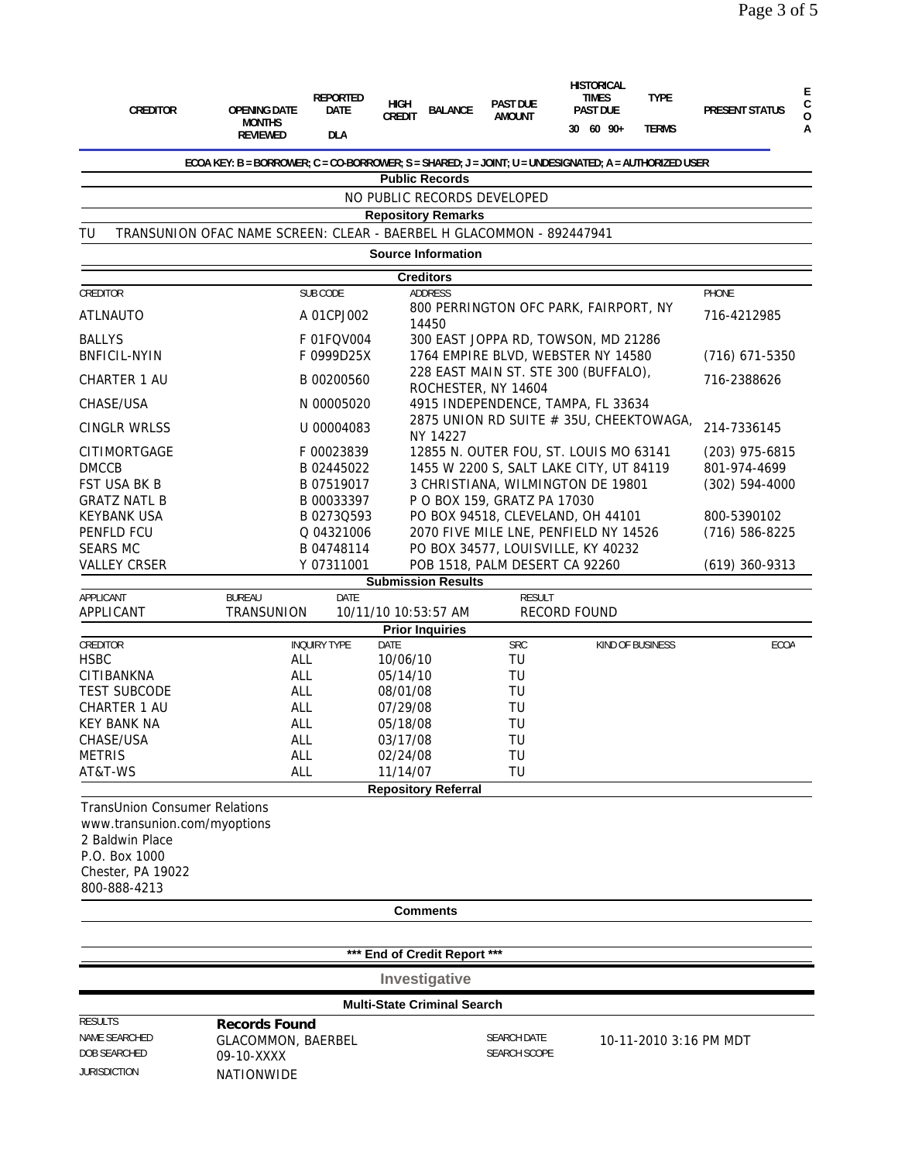| <b>CREDITOR</b>                                                                                          | <b>OPENING DATE</b><br><b>MONTHS</b><br><b>REVIEWED</b>                                               | <b>REPORTED</b><br><b>DATE</b><br><b>DLA</b> | <b>HIGH</b><br><b>CREDIT</b> | <b>BALANCE</b>                     | <b>PAST DUE</b><br><b>AMOUNT</b> | <b>HISTORICAL</b><br><b>TIMES</b><br><b>PAST DUE</b><br>30 60 90+            | <b>TYPE</b><br><b>TERMS</b> | <b>PRESENT STATUS</b>          | Ε<br>С<br>0<br>А |
|----------------------------------------------------------------------------------------------------------|-------------------------------------------------------------------------------------------------------|----------------------------------------------|------------------------------|------------------------------------|----------------------------------|------------------------------------------------------------------------------|-----------------------------|--------------------------------|------------------|
|                                                                                                          | ECOA KEY: B = BORROWER; C = CO-BORROWER; S = SHARED; J = JOINT; U = UNDESIGNATED; A = AUTHORIZED USER |                                              |                              |                                    |                                  |                                                                              |                             |                                |                  |
|                                                                                                          |                                                                                                       |                                              |                              | <b>Public Records</b>              |                                  |                                                                              |                             |                                |                  |
|                                                                                                          |                                                                                                       |                                              |                              |                                    | NO PUBLIC RECORDS DEVELOPED      |                                                                              |                             |                                |                  |
|                                                                                                          |                                                                                                       |                                              |                              | <b>Repository Remarks</b>          |                                  |                                                                              |                             |                                |                  |
| TU                                                                                                       | TRANSUNION OFAC NAME SCREEN: CLEAR - BAERBEL H GLACOMMON - 892447941                                  |                                              |                              | <b>Source Information</b>          |                                  |                                                                              |                             |                                |                  |
|                                                                                                          |                                                                                                       |                                              |                              | <b>Creditors</b>                   |                                  |                                                                              |                             |                                |                  |
| CREDITOR                                                                                                 |                                                                                                       | SUB CODE                                     |                              | <b>ADDRESS</b>                     |                                  |                                                                              |                             | PHONE                          |                  |
| <b>ATLNAUTO</b>                                                                                          |                                                                                                       | A 01CPJ002                                   |                              |                                    |                                  | 800 PERRINGTON OFC PARK, FAIRPORT, NY                                        |                             | 716-4212985                    |                  |
|                                                                                                          |                                                                                                       |                                              |                              | 14450                              |                                  |                                                                              |                             |                                |                  |
| <b>BALLYS</b><br><b>BNFICIL-NYIN</b>                                                                     |                                                                                                       | F 01FQV004<br>F 0999D25X                     |                              |                                    |                                  | 300 EAST JOPPA RD, TOWSON, MD 21286<br>1764 EMPIRE BLVD, WEBSTER NY 14580    |                             |                                |                  |
|                                                                                                          |                                                                                                       |                                              |                              |                                    |                                  | 228 EAST MAIN ST. STE 300 (BUFFALO),                                         |                             | $(716)$ 671-5350               |                  |
| <b>CHARTER 1 AU</b>                                                                                      |                                                                                                       | B 00200560                                   |                              |                                    | ROCHESTER, NY 14604              |                                                                              |                             | 716-2388626                    |                  |
| CHASE/USA                                                                                                |                                                                                                       | N 00005020                                   |                              |                                    |                                  | 4915 INDEPENDENCE, TAMPA, FL 33634                                           |                             |                                |                  |
| CINGLR WRLSS                                                                                             |                                                                                                       | U 00004083                                   |                              | NY 14227                           |                                  | 2875 UNION RD SUITE # 35U, CHEEKTOWAGA,                                      |                             | 214-7336145                    |                  |
| CITIMORTGAGE                                                                                             |                                                                                                       | F00023839                                    |                              |                                    |                                  | 12855 N. OUTER FOU, ST. LOUIS MO 63141                                       |                             | $(203)$ 975-6815               |                  |
| <b>DMCCB</b><br>FST USA BK B                                                                             |                                                                                                       | B 02445022<br>B 07519017                     |                              |                                    |                                  | 1455 W 2200 S, SALT LAKE CITY, UT 84119<br>3 CHRISTIANA, WILMINGTON DE 19801 |                             | 801-974-4699<br>(302) 594-4000 |                  |
| <b>GRATZ NATL B</b>                                                                                      |                                                                                                       | B 00033397                                   |                              |                                    | P O BOX 159, GRATZ PA 17030      |                                                                              |                             |                                |                  |
| <b>KEYBANK USA</b>                                                                                       |                                                                                                       | B 0273Q593                                   |                              |                                    |                                  | PO BOX 94518, CLEVELAND, OH 44101                                            |                             | 800-5390102                    |                  |
| PENFLD FCU                                                                                               |                                                                                                       | Q 04321006                                   |                              |                                    |                                  | 2070 FIVE MILE LNE, PENFIELD NY 14526                                        |                             | $(716) 586 - 8225$             |                  |
| <b>SEARS MC</b>                                                                                          |                                                                                                       | B 04748114                                   |                              |                                    |                                  | PO BOX 34577, LOUISVILLE, KY 40232                                           |                             |                                |                  |
| <b>VALLEY CRSER</b>                                                                                      |                                                                                                       | Y 07311001                                   |                              | <b>Submission Results</b>          |                                  | POB 1518, PALM DESERT CA 92260                                               |                             | $(619)$ 360-9313               |                  |
| APPLICANT                                                                                                | <b>BUREAU</b>                                                                                         | DATE                                         |                              |                                    | <b>RESULT</b>                    |                                                                              |                             |                                |                  |
| APPLICANT                                                                                                | TRANSUNION                                                                                            |                                              |                              | 10/11/10 10:53:57 AM               |                                  | <b>RECORD FOUND</b>                                                          |                             |                                |                  |
|                                                                                                          |                                                                                                       | <b>INQUIRY TYPE</b>                          | DATE                         | <b>Prior Inquiries</b>             |                                  |                                                                              |                             | <b>ECOA</b>                    |                  |
| CREDITOR<br><b>HSBC</b>                                                                                  | <b>ALL</b>                                                                                            |                                              | 10/06/10                     |                                    | <b>SRC</b><br>TU                 |                                                                              | KIND OF BUSINESS            |                                |                  |
| CITIBANKNA                                                                                               | <b>ALL</b>                                                                                            |                                              | 05/14/10                     |                                    | TU                               |                                                                              |                             |                                |                  |
| <b>TEST SUBCODE</b>                                                                                      | ALL                                                                                                   |                                              | 08/01/08                     |                                    | TU                               |                                                                              |                             |                                |                  |
| CHARTER 1 AU                                                                                             | ALL                                                                                                   |                                              | 07/29/08                     |                                    | TU                               |                                                                              |                             |                                |                  |
| <b>KEY BANK NA</b><br>CHASE/USA                                                                          | ALL<br>ALL                                                                                            |                                              | 05/18/08<br>03/17/08         |                                    | TU<br>TU                         |                                                                              |                             |                                |                  |
| <b>METRIS</b>                                                                                            | ALL                                                                                                   |                                              | 02/24/08                     |                                    | TU                               |                                                                              |                             |                                |                  |
| AT&T-WS                                                                                                  | <b>ALL</b>                                                                                            |                                              | 11/14/07                     |                                    | TU                               |                                                                              |                             |                                |                  |
|                                                                                                          |                                                                                                       |                                              |                              | <b>Repository Referral</b>         |                                  |                                                                              |                             |                                |                  |
| <b>TransUnion Consumer Relations</b><br>www.transunion.com/myoptions<br>2 Baldwin Place<br>P.O. Box 1000 |                                                                                                       |                                              |                              |                                    |                                  |                                                                              |                             |                                |                  |
| Chester, PA 19022<br>800-888-4213                                                                        |                                                                                                       |                                              |                              |                                    |                                  |                                                                              |                             |                                |                  |
|                                                                                                          |                                                                                                       |                                              |                              | <b>Comments</b>                    |                                  |                                                                              |                             |                                |                  |
|                                                                                                          |                                                                                                       |                                              |                              |                                    |                                  |                                                                              |                             |                                |                  |
|                                                                                                          |                                                                                                       |                                              |                              | *** End of Credit Report ***       |                                  |                                                                              |                             |                                |                  |
|                                                                                                          |                                                                                                       |                                              |                              | Investigative                      |                                  |                                                                              |                             |                                |                  |
|                                                                                                          |                                                                                                       |                                              |                              | <b>Multi-State Criminal Search</b> |                                  |                                                                              |                             |                                |                  |
| <b>RESULTS</b><br>NAME SEARCHED                                                                          | <b>Records Found</b>                                                                                  |                                              |                              |                                    | <b>SEARCH DATE</b>               |                                                                              |                             |                                |                  |
| DOB SEARCHED                                                                                             | <b>GLACOMMON, BAERBEL</b><br>09-10-XXXX                                                               |                                              |                              |                                    | SEARCH SCOPE                     |                                                                              | 10-11-2010 3:16 PM MDT      |                                |                  |
| <b>JURISDICTION</b>                                                                                      | NATIONWIDE                                                                                            |                                              |                              |                                    |                                  |                                                                              |                             |                                |                  |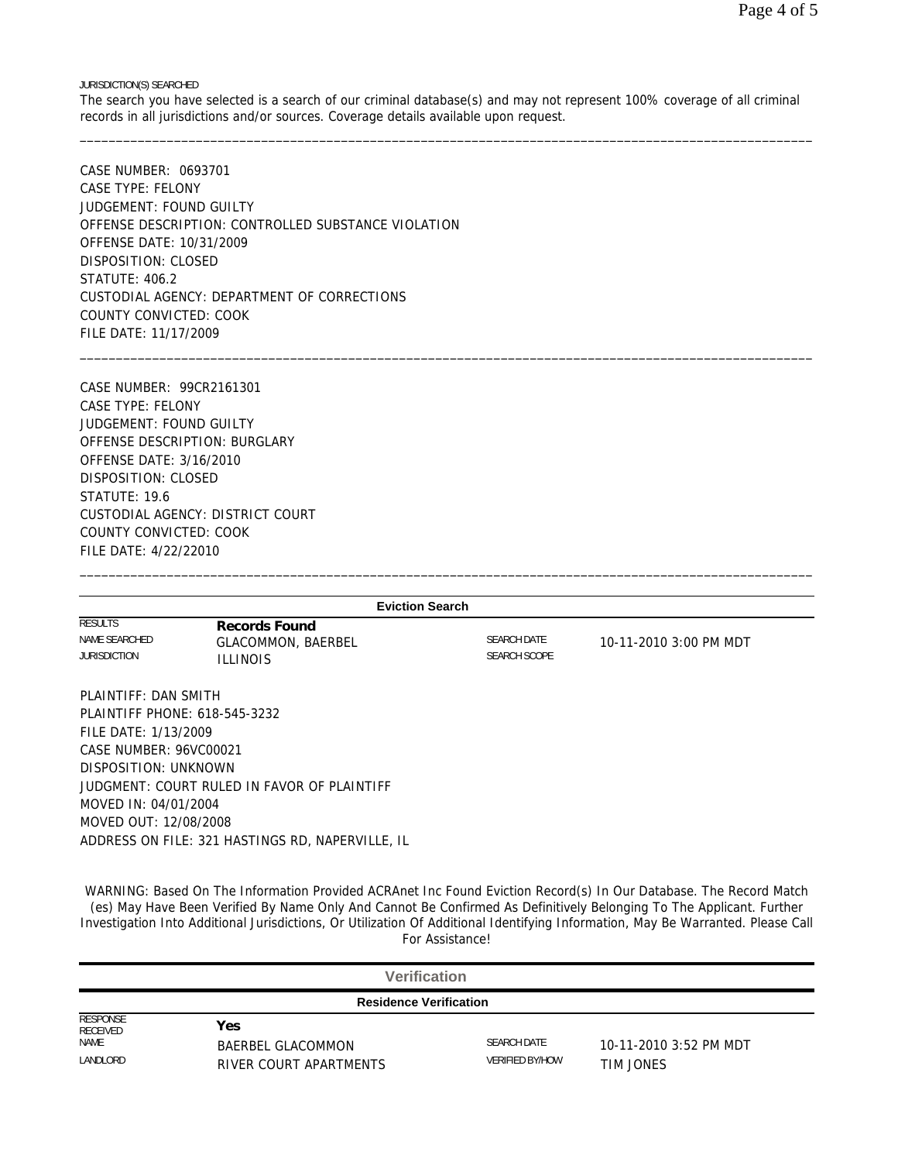JURISDICTION(S) SEARCHED

The search you have selected is a search of our criminal database(s) and may not represent 100% coverage of all criminal records in all jurisdictions and/or sources. Coverage details available upon request. \_\_\_\_\_\_\_\_\_\_\_\_\_\_\_\_\_\_\_\_\_\_\_\_\_\_\_\_\_\_\_\_\_\_\_\_\_\_\_\_\_\_\_\_\_\_\_\_\_\_\_\_\_\_\_\_\_\_\_\_\_\_\_\_\_\_\_\_\_\_\_\_\_\_\_\_\_\_\_\_\_\_\_\_\_\_\_\_\_\_\_\_\_\_\_\_\_\_\_\_\_

\_\_\_\_\_\_\_\_\_\_\_\_\_\_\_\_\_\_\_\_\_\_\_\_\_\_\_\_\_\_\_\_\_\_\_\_\_\_\_\_\_\_\_\_\_\_\_\_\_\_\_\_\_\_\_\_\_\_\_\_\_\_\_\_\_\_\_\_\_\_\_\_\_\_\_\_\_\_\_\_\_\_\_\_\_\_\_\_\_\_\_\_\_\_\_\_\_\_\_\_\_

CASE NUMBER: 0693701 CASE TYPE: FELONY JUDGEMENT: FOUND GUILTY OFFENSE DESCRIPTION: CONTROLLED SUBSTANCE VIOLATION OFFENSE DATE: 10/31/2009 DISPOSITION: CLOSED STATUTE: 406.2 CUSTODIAL AGENCY: DEPARTMENT OF CORRECTIONS COUNTY CONVICTED: COOK FILE DATE: 11/17/2009

CASE NUMBER: 99CR2161301 CASE TYPE: FELONY JUDGEMENT: FOUND GUILTY OFFENSE DESCRIPTION: BURGLARY OFFENSE DATE: 3/16/2010 DISPOSITION: CLOSED STATUTE: 19.6 CUSTODIAL AGENCY: DISTRICT COURT COUNTY CONVICTED: COOK FILE DATE: 4/22/22010

|                                                        | <b>Eviction Search</b>                                               |                                           |                        |
|--------------------------------------------------------|----------------------------------------------------------------------|-------------------------------------------|------------------------|
| <b>RESULTS</b><br>NAME SEARCHED<br><b>JURISDICTION</b> | <b>Records Found</b><br><b>GLACOMMON, BAERBEL</b><br><b>ILLINOIS</b> | <b>SEARCH DATE</b><br><b>SEARCH SCOPE</b> | 10-11-2010 3:00 PM MDT |
| PLAINTIFF: DAN SMITH                                   | PLAINTIFF PHONE: 618-545-3232                                        |                                           |                        |
| FILE DATE: 1/13/2009                                   |                                                                      |                                           |                        |
| CASE NUMBER: 96VC00021                                 |                                                                      |                                           |                        |
| DISPOSITION: UNKNOWN                                   |                                                                      |                                           |                        |
|                                                        | JUDGMENT: COURT RULED IN FAVOR OF PLAINTIFF                          |                                           |                        |
| MOVED IN: 04/01/2004                                   |                                                                      |                                           |                        |
| MOVED OUT: 12/08/2008                                  |                                                                      |                                           |                        |
|                                                        | ADDRESS ON FILE: 321 HASTINGS RD, NAPERVILLE, IL                     |                                           |                        |

\_\_\_\_\_\_\_\_\_\_\_\_\_\_\_\_\_\_\_\_\_\_\_\_\_\_\_\_\_\_\_\_\_\_\_\_\_\_\_\_\_\_\_\_\_\_\_\_\_\_\_\_\_\_\_\_\_\_\_\_\_\_\_\_\_\_\_\_\_\_\_\_\_\_\_\_\_\_\_\_\_\_\_\_\_\_\_\_\_\_\_\_\_\_\_\_\_\_\_\_\_

WARNING: Based On The Information Provided ACRAnet Inc Found Eviction Record(s) In Our Database. The Record Match (es) May Have Been Verified By Name Only And Cannot Be Confirmed As Definitively Belonging To The Applicant. Further Investigation Into Additional Jurisdictions, Or Utilization Of Additional Identifying Information, May Be Warranted. Please Call For Assistance!

|                               | <b>Verification</b>                                |                                              |                                     |  |  |  |  |
|-------------------------------|----------------------------------------------------|----------------------------------------------|-------------------------------------|--|--|--|--|
| <b>Residence Verification</b> |                                                    |                                              |                                     |  |  |  |  |
| RESPONSE<br><b>RECEIVED</b>   | Yes                                                |                                              |                                     |  |  |  |  |
| <b>NAME</b><br>LANDLORD       | <b>BAERBEL GLACOMMON</b><br>RIVER COURT APARTMENTS | <b>SEARCH DATE</b><br><b>VERIFIED BY/HOW</b> | 10-11-2010 3:52 PM MDT<br>TIM JONES |  |  |  |  |